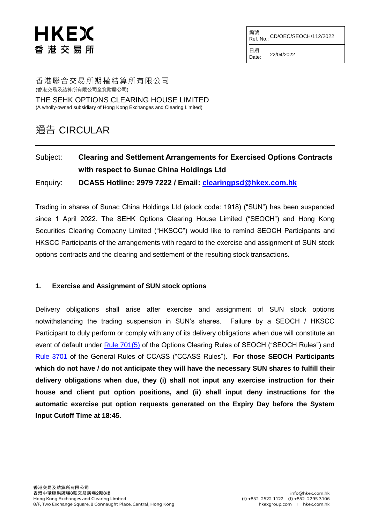# HKEX 香 港 交 易 所

編號<br>Ref. No.: CD/OEC/SEOCH/112/2022

日期  $Date: 22/04/2022$ 

香港聯合交易所期權結算所有限公司 (香港交易及結算所有限公司全資附屬公司) THE SEHK OPTIONS CLEARING HOUSE LIMITED

(A wholly-owned subsidiary of Hong Kong Exchanges and Clearing Limited)

## 通告 CIRCULAR

### Subject: **Clearing and Settlement Arrangements for Exercised Options Contracts with respect to Sunac China Holdings Ltd** Enquiry: **DCASS Hotline: 2979 7222 / Email: [clearingpsd@hkex.com.hk](mailto:clearingpsd@hkex.com.hk)**

Trading in shares of Sunac China Holdings Ltd (stock code: 1918) ("SUN") has been suspended since 1 April 2022. The SEHK Options Clearing House Limited ("SEOCH") and Hong Kong Securities Clearing Company Limited ("HKSCC") would like to remind SEOCH Participants and HKSCC Participants of the arrangements with regard to the exercise and assignment of SUN stock options contracts and the clearing and settlement of the resulting stock transactions.

#### **1. Exercise and Assignment of SUN stock options**

Delivery obligations shall arise after exercise and assignment of SUN stock options notwithstanding the trading suspension in SUN's shares. Failure by a SEOCH / HKSCC Participant to duly perform or comply with any of its delivery obligations when due will constitute an event of default under [Rule 701\(5\)](https://www.hkex.com.hk/-/media/HKEX-Market/Services/Rules-and-Forms-and-Fees/Rules/SEOCH/Rules/Chapter7.pdf?la=en) of the Options Clearing Rules of SEOCH ("SEOCH Rules") and [Rule 3701](https://www.hkex.com.hk/-/media/HKEX-Market/Services/Rules-and-Forms-and-Fees/Rules/HKSCC/General-Rules-of-CCASS/R37.pdf?la=en) of the General Rules of CCASS ("CCASS Rules"). **For those SEOCH Participants which do not have / do not anticipate they will have the necessary SUN shares to fulfill their delivery obligations when due, they (i) shall not input any exercise instruction for their house and client put option positions, and (ii) shall input deny instructions for the automatic exercise put option requests generated on the Expiry Day before the System Input Cutoff Time at 18:45**.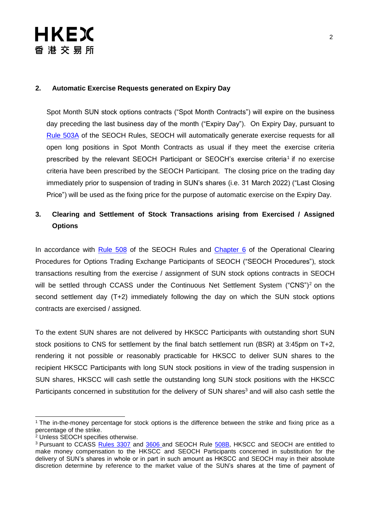# HKEX 香 港 交 易 所

#### **2. Automatic Exercise Requests generated on Expiry Day**

Spot Month SUN stock options contracts ("Spot Month Contracts") will expire on the business day preceding the last business day of the month ("Expiry Day"). On Expiry Day, pursuant to [Rule 503A](https://www.hkex.com.hk/-/media/HKEX-Market/Services/Rules-and-Forms-and-Fees/Rules/SEOCH/Rules/Chapter5.pdf?la=en) of the SEOCH Rules, SEOCH will automatically generate exercise requests for all open long positions in Spot Month Contracts as usual if they meet the exercise criteria prescribed by the relevant SEOCH Participant or SEOCH's exercise criteria<sup>1</sup> if no exercise criteria have been prescribed by the SEOCH Participant. The closing price on the trading day immediately prior to suspension of trading in SUN's shares (i.e. 31 March 2022) ("Last Closing Price") will be used as the fixing price for the purpose of automatic exercise on the Expiry Day.

### **3. Clearing and Settlement of Stock Transactions arising from Exercised / Assigned Options**

In accordance with [Rule 508](https://www.hkex.com.hk/-/media/HKEX-Market/Services/Rules-and-Forms-and-Fees/Rules/SEOCH/Rules/Chapter5.pdf?la=en) of the SEOCH Rules and [Chapter 6](https://www.hkex.com.hk/-/media/HKEX-Market/Services/Rules-and-Forms-and-Fees/Rules/SEOCH/Operational-Procedures/CHAP06.pdf?la=en) of the Operational Clearing Procedures for Options Trading Exchange Participants of SEOCH ("SEOCH Procedures"), stock transactions resulting from the exercise / assignment of SUN stock options contracts in SEOCH will be settled through CCASS under the Continuous Net Settlement System ("CNS")<sup>2</sup> on the second settlement day (T+2) immediately following the day on which the SUN stock options contracts are exercised / assigned.

To the extent SUN shares are not delivered by HKSCC Participants with outstanding short SUN stock positions to CNS for settlement by the final batch settlement run (BSR) at 3:45pm on T+2, rendering it not possible or reasonably practicable for HKSCC to deliver SUN shares to the recipient HKSCC Participants with long SUN stock positions in view of the trading suspension in SUN shares, HKSCC will cash settle the outstanding long SUN stock positions with the HKSCC Participants concerned in substitution for the delivery of SUN shares<sup>3</sup> and will also cash settle the

 $\overline{a}$ <sup>1</sup> The in-the-money percentage for stock options is the difference between the strike and fixing price as a percentage of the strike.

<sup>&</sup>lt;sup>2</sup> Unless SEOCH specifies otherwise.

<sup>&</sup>lt;sup>3</sup> Pursuant to CCASS [Rules 3307](https://www.hkex.com.hk/-/media/HKEX-Market/Services/Rules-and-Forms-and-Fees/Rules/HKSCC/General-Rules-of-CCASS/R33.pdf?la=en) and [3606](https://www.hkex.com.hk/-/media/HKEX-Market/Services/Rules-and-Forms-and-Fees/Rules/HKSCC/General-Rules-of-CCASS/R36.pdf?la=en) and SEOCH Rule [508B,](https://www.hkex.com.hk/-/media/HKEX-Market/Services/Rules-and-Forms-and-Fees/Rules/SEOCH/Rules/Chapter5.pdf?la=en) HKSCC and SEOCH are entitled to make money compensation to the HKSCC and SEOCH Participants concerned in substitution for the delivery of SUN's shares in whole or in part in such amount as HKSCC and SEOCH may in their absolute discretion determine by reference to the market value of the SUN's shares at the time of payment of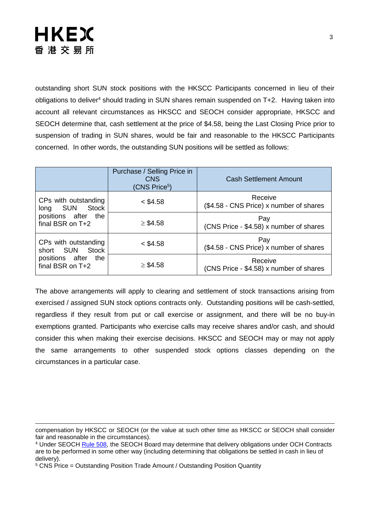

outstanding short SUN stock positions with the HKSCC Participants concerned in lieu of their obligations to deliver<sup>4</sup> should trading in SUN shares remain suspended on T+2. Having taken into account all relevant circumstances as HKSCC and SEOCH consider appropriate, HKSCC and SEOCH determine that, cash settlement at the price of \$4.58, being the Last Closing Price prior to suspension of trading in SUN shares, would be fair and reasonable to the HKSCC Participants concerned. In other words, the outstanding SUN positions will be settled as follows:

|                                                                                       | Purchase / Selling Price in<br><b>CNS</b><br>(CNS Price <sup>5</sup> ) | <b>Cash Settlement Amount</b>                      |
|---------------------------------------------------------------------------------------|------------------------------------------------------------------------|----------------------------------------------------|
| CPs with outstanding<br>SUN Stock<br>long<br>positions after the<br>final BSR on T+2  | $<$ \$4.58                                                             | Receive<br>(\$4.58 - CNS Price) x number of shares |
|                                                                                       | $\geq$ \$4.58                                                          | Pay<br>(CNS Price - \$4.58) x number of shares     |
| CPs with outstanding<br>Stock<br>short SUN<br>positions after the<br>final BSR on T+2 | $<$ \$4.58                                                             | Pay<br>(\$4.58 - CNS Price) x number of shares     |
|                                                                                       | $\geq$ \$4.58                                                          | Receive<br>(CNS Price - \$4.58) x number of shares |

The above arrangements will apply to clearing and settlement of stock transactions arising from exercised / assigned SUN stock options contracts only. Outstanding positions will be cash-settled, regardless if they result from put or call exercise or assignment, and there will be no buy-in exemptions granted. Participants who exercise calls may receive shares and/or cash, and should consider this when making their exercise decisions. HKSCC and SEOCH may or may not apply the same arrangements to other suspended stock options classes depending on the circumstances in a particular case.

compensation by HKSCC or SEOCH (or the value at such other time as HKSCC or SEOCH shall consider fair and reasonable in the circumstances).

<sup>&</sup>lt;sup>4</sup> Under SEOCH [Rule 508,](https://www.hkex.com.hk/-/media/HKEX-Market/Services/Rules-and-Forms-and-Fees/Rules/SEOCH/Rules/Chapter5.pdf?la=en) the SEOCH Board may determine that delivery obligations under OCH Contracts are to be performed in some other way (including determining that obligations be settled in cash in lieu of delivery).

<sup>5</sup> CNS Price = Outstanding Position Trade Amount / Outstanding Position Quantity